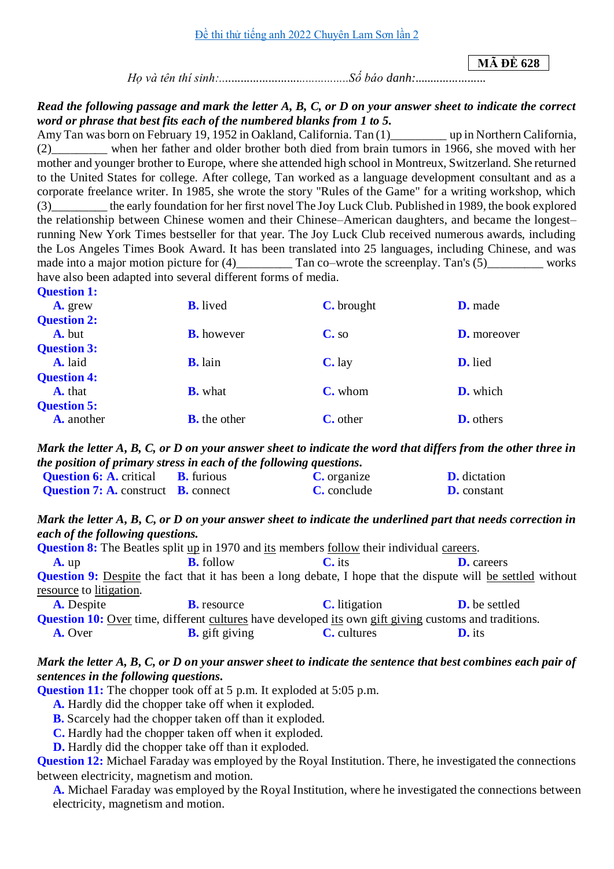**MÃ ĐỀ 628**

*Họ và tên thí sinh:..........................................Số báo danh:.......................*

#### *Read the following passage and mark the letter A, B, C, or D on your answer sheet to indicate the correct word or phrase that best fits each of the numbered blanks from 1 to 5.*

Amy Tan was born on February 19, 1952 in Oakland, California. Tan (1)\_\_\_\_\_\_\_\_\_ up in Northern California, (2)\_\_\_\_\_\_\_\_\_ when her father and older brother both died from brain tumors in 1966, she moved with her mother and younger brother to Europe, where she attended high school in Montreux, Switzerland. She returned to the United States for college. After college, Tan worked as a language development consultant and as a corporate freelance writer. In 1985, she wrote the story "Rules of the Game" for a writing workshop, which (3)\_\_\_\_\_\_\_\_\_ the early foundation for her first novel The Joy Luck Club. Published in 1989, the book explored the relationship between Chinese women and their Chinese–American daughters, and became the longest– running New York Times bestseller for that year. The Joy Luck Club received numerous awards, including the Los Angeles Times Book Award. It has been translated into 25 languages, including Chinese, and was made into a major motion picture for (4)\_\_\_\_\_\_\_\_ Tan co–wrote the screenplay. Tan's (5)\_\_\_\_\_\_\_\_ works have also been adapted into several different forms of media. **Question 1:**

| <b>Question 1:</b><br>A. grew        | <b>B.</b> lived     | <b>C.</b> brought | <b>D.</b> made     |
|--------------------------------------|---------------------|-------------------|--------------------|
| <b>Question 2:</b><br>A. but         | <b>B.</b> however   | $C_{\bullet}$ so  | <b>D.</b> moreover |
| <b>Question 3:</b><br>A. laid        | <b>B.</b> lain      | $C$ . lay         | D. lied            |
| <b>Question 4:</b><br><b>A.</b> that | <b>B.</b> what      | $C.$ whom         | D. which           |
| <b>Question 5:</b><br>A. another     | <b>B.</b> the other | <b>C.</b> other   | <b>D.</b> others   |

*Mark the letter A, B, C, or D on your answer sheet to indicate the word that differs from the other three in the position of primary stress in each of the following questions.*

| <b>Question 6: A.</b> critical                    | <b>B.</b> furious | C. organize        | <b>D.</b> dictation |
|---------------------------------------------------|-------------------|--------------------|---------------------|
| <b>Question 7: A.</b> construct <b>B.</b> connect |                   | <b>C.</b> conclude | <b>D.</b> constant  |

#### *Mark the letter A, B, C, or D on your answer sheet to indicate the underlined part that needs correction in each of the following questions.*

| <b>Question 8:</b> The Beatles split up in 1970 and its members follow their individual careers. |                    |                      |                                                                                                                     |  |
|--------------------------------------------------------------------------------------------------|--------------------|----------------------|---------------------------------------------------------------------------------------------------------------------|--|
| A. up                                                                                            | <b>B.</b> follow   | $C_{\rm t}$ its      | <b>D.</b> careers                                                                                                   |  |
|                                                                                                  |                    |                      | <b>Question 9:</b> Despite the fact that it has been a long debate, I hope that the dispute will be settled without |  |
| resource to litigation.                                                                          |                    |                      |                                                                                                                     |  |
| <b>A.</b> Despite                                                                                | <b>B.</b> resource | <b>C.</b> litigation | <b>D.</b> be settled                                                                                                |  |

|                | <b>Question 10:</b> Over time, different cultures have developed its own gift giving customs and traditions. |             |               |
|----------------|--------------------------------------------------------------------------------------------------------------|-------------|---------------|
| <b>A.</b> Over | <b>B.</b> gift giving                                                                                        | C. cultures | <b>D.</b> its |

### *Mark the letter A, B, C, or D on your answer sheet to indicate the sentence that best combines each pair of sentences in the following questions.*

**Question 11:** The chopper took off at 5 p.m. It exploded at 5:05 p.m.

**A.** Hardly did the chopper take off when it exploded.

**B.** Scarcely had the chopper taken off than it exploded.

**C.** Hardly had the chopper taken off when it exploded.

**D.** Hardly did the chopper take off than it exploded.

**Question 12:** Michael Faraday was employed by the Royal Institution. There, he investigated the connections between electricity, magnetism and motion.

**A.** Michael Faraday was employed by the Royal Institution, where he investigated the connections between electricity, magnetism and motion.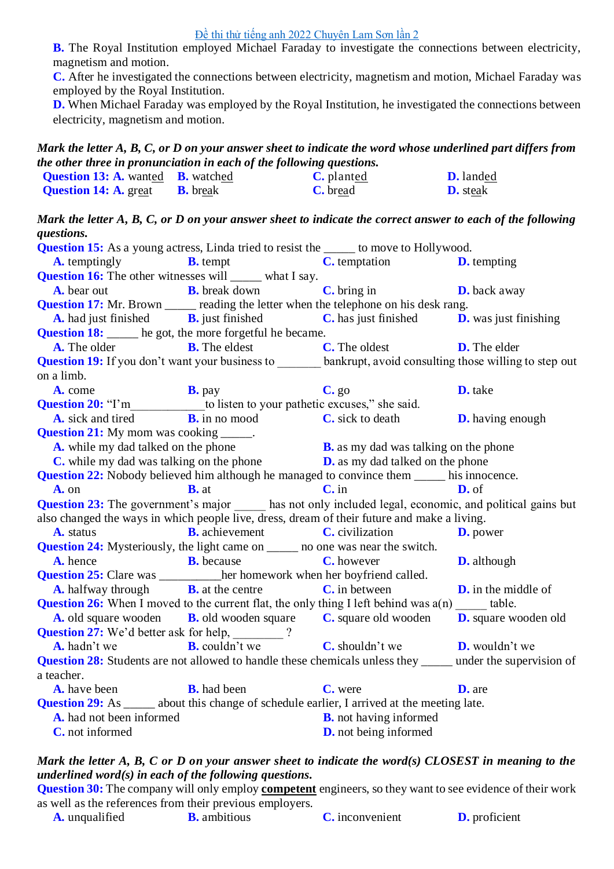#### [Đề thi thử tiếng anh 2022 Chuyên Lam Sơn lần 2](https://doctailieu.com/de-thi-thu-tieng-anh-2022-chuyen-lam-son-lan-2)

**B.** The Royal Institution employed Michael Faraday to investigate the connections between electricity, magnetism and motion.

**C.** After he investigated the connections between electricity, magnetism and motion, Michael Faraday was employed by the Royal Institution.

**D.** When Michael Faraday was employed by the Royal Institution, he investigated the connections between electricity, magnetism and motion.

## *Mark the letter A, B, C, or D on your answer sheet to indicate the word whose underlined part differs from the other three in pronunciation in each of the following questions.*

| <b>Question 13: A.</b> wanted <b>B.</b> watched |                 | <b>C.</b> planted | <b>D.</b> landed |
|-------------------------------------------------|-----------------|-------------------|------------------|
| <b>Question 14: A. great</b>                    | <b>B.</b> break | C. bread          | <b>D.</b> steak  |

*Mark the letter A, B, C, or D on your answer sheet to indicate the correct answer to each of the following questions.*

| <b>Question 15:</b> As a young actress, Linda tried to resist the _____ to move to Hollywood.                     |                                                                                                              |                                              |                            |
|-------------------------------------------------------------------------------------------------------------------|--------------------------------------------------------------------------------------------------------------|----------------------------------------------|----------------------------|
|                                                                                                                   |                                                                                                              | <b>C.</b> temptation <b>D.</b> tempting      |                            |
| <b>A.</b> temptingly <b>B.</b> tempt<br><b>Question 16:</b> The other witnesses will ______ what I say.           |                                                                                                              |                                              |                            |
|                                                                                                                   | <b>A.</b> bear out <b>B.</b> break down                                                                      | $\mathbf C$ , bring in                       | <b>D.</b> back away        |
| <b>Question 17:</b> Mr. Brown _____ reading the letter when the telephone on his desk rang.                       |                                                                                                              |                                              |                            |
|                                                                                                                   | <b>A.</b> had just finished <b>B.</b> just finished <b>C.</b> has just finished <b>D.</b> was just finishing |                                              |                            |
| <b>Question 18:</b> ____ he got, the more forgetful he became.                                                    |                                                                                                              |                                              |                            |
|                                                                                                                   | <b>A.</b> The older <b>B.</b> The eldest                                                                     | <b>C.</b> The oldest                         | <b>D.</b> The elder        |
| Question 19: If you don't want your business to ______ bankrupt, avoid consulting those willing to step out       |                                                                                                              |                                              |                            |
| on a limb.                                                                                                        |                                                                                                              |                                              |                            |
| A. come                                                                                                           | <b>B.</b> pay                                                                                                | C. g <sub>0</sub>                            | D. take                    |
| Question 20: "I'm____________ to listen to your pathetic excuses," she said.                                      |                                                                                                              |                                              |                            |
| <b>A.</b> sick and tired <b>B.</b> in no mood                                                                     |                                                                                                              | $\mathbf C$ , sick to death                  | <b>D.</b> having enough    |
| <b>Question 21:</b> My mom was cooking ______.                                                                    |                                                                                                              |                                              |                            |
| A. while my dad talked on the phone                                                                               |                                                                                                              | <b>B.</b> as my dad was talking on the phone |                            |
|                                                                                                                   | <b>C</b> . while my dad was talking on the phone <b>D</b> . as my dad talked on the phone                    |                                              |                            |
| <b>Question 22:</b> Nobody believed him although he managed to convince them _____ his innocence.                 |                                                                                                              |                                              |                            |
| A. on                                                                                                             | $B. at$                                                                                                      | $C$ . in                                     | D. of                      |
| Question 23: The government's major ______ has not only included legal, economic, and political gains but         |                                                                                                              |                                              |                            |
| also changed the ways in which people live, dress, dream of their future and make a living.                       |                                                                                                              |                                              |                            |
| A. status                                                                                                         | <b>B.</b> achievement <b>C.</b> civilization                                                                 |                                              | <b>D.</b> power            |
| <b>Question 24:</b> Mysteriously, the light came on ______ no one was near the switch.                            |                                                                                                              |                                              |                            |
| <b>B.</b> because<br>A. hence                                                                                     |                                                                                                              | <b>C.</b> however                            | <b>D.</b> although         |
| <b>Question 25:</b> Clare was ____________ her homework when her boyfriend called.                                |                                                                                                              |                                              |                            |
|                                                                                                                   | <b>A.</b> halfway through <b>B.</b> at the centre <b>C.</b> in between                                       |                                              | <b>D.</b> in the middle of |
| <b>Question 26:</b> When I moved to the current flat, the only thing I left behind was $a(n)$ table.              |                                                                                                              |                                              |                            |
|                                                                                                                   | A. old square wooden B. old wooden square C. square old wooden D. square wooden old                          |                                              |                            |
| Question 27: We'd better ask for help, _______?                                                                   |                                                                                                              |                                              |                            |
|                                                                                                                   | A. hadn't we <b>B.</b> couldn't we <b>C.</b> shouldn't we <b>D.</b> wouldn't we                              |                                              |                            |
| <b>Question 28:</b> Students are not allowed to handle these chemicals unless they _____ under the supervision of |                                                                                                              |                                              |                            |
| a teacher.                                                                                                        |                                                                                                              |                                              |                            |
| <b>A.</b> have been <b>B.</b> had been                                                                            |                                                                                                              | C. were                                      | <b>D.</b> are              |
| <b>Question 29:</b> As ______ about this change of schedule earlier, I arrived at the meeting late.               |                                                                                                              |                                              |                            |
| A. had not been informed                                                                                          |                                                                                                              | <b>B.</b> not having informed                |                            |
| C. not informed                                                                                                   |                                                                                                              | <b>D.</b> not being informed                 |                            |
|                                                                                                                   |                                                                                                              |                                              |                            |

## *Mark the letter A, B, C or D on your answer sheet to indicate the word(s) CLOSEST in meaning to the underlined word(s) in each of the following questions.*

**Question 30:** The company will only employ **competent** engineers, so they want to see evidence of their work as well as the references from their previous employers.

| <b>A.</b> unqualified<br><b>B.</b> ambitious | <b>C.</b> inconvenient | <b>D.</b> proficient |
|----------------------------------------------|------------------------|----------------------|
|----------------------------------------------|------------------------|----------------------|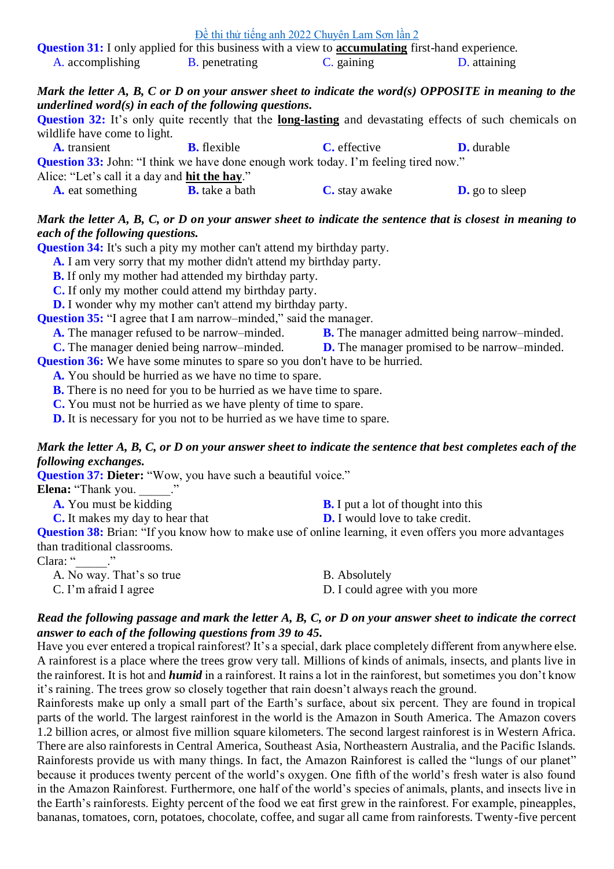| Đề thi thử tiếng anh 2022 Chuyên Lam Sơn lần 2                                                                 |                        |            |              |
|----------------------------------------------------------------------------------------------------------------|------------------------|------------|--------------|
| <b>Question 31:</b> I only applied for this business with a view to <b>accumulating</b> first-hand experience. |                        |            |              |
| A. accomplishing                                                                                               | <b>B</b> . penetrating | C. gaining | D. attaining |

### *Mark the letter A, B, C or D on your answer sheet to indicate the word(s) OPPOSITE in meaning to the underlined word(s) in each of the following questions.*

**Question 32:** It's only quite recently that the **long-lasting** and devastating effects of such chemicals on wildlife have come to light.

| <b>A.</b> transient                                   | <b>B.</b> flexible    | <b>C.</b> effective                                                                        | <b>D.</b> durable     |
|-------------------------------------------------------|-----------------------|--------------------------------------------------------------------------------------------|-----------------------|
|                                                       |                       | <b>Question 33:</b> John: "I think we have done enough work today. I'm feeling tired now." |                       |
| Alice: "Let's call it a day and <b>hit the hay.</b> " |                       |                                                                                            |                       |
| <b>A.</b> eat something                               | <b>B.</b> take a bath | <b>C.</b> stay awake                                                                       | <b>D.</b> go to sleep |

## *Mark the letter A, B, C, or D on your answer sheet to indicate the sentence that is closest in meaning to each of the following questions.*

**Question 34:** It's such a pity my mother can't attend my birthday party.

**A.** I am very sorry that my mother didn't attend my birthday party.

**B.** If only my mother had attended my birthday party.

**C.** If only my mother could attend my birthday party.

**D.** I wonder why my mother can't attend my birthday party.

**Question 35:** "I agree that I am narrow–minded," said the manager.

**A.** The manager refused to be narrow–minded.<br> **B.** The manager admitted being narrow–minded.<br> **D.** The manager promised to be narrow–minded.

**D.** The manager promised to be narrow–minded.

**Question 36:** We have some minutes to spare so you don't have to be hurried.

**A.** You should be hurried as we have no time to spare.

**B.** There is no need for you to be hurried as we have time to spare.

**C.** You must not be hurried as we have plenty of time to spare.

**D.** It is necessary for you not to be hurried as we have time to spare.

## *Mark the letter A, B, C, or D on your answer sheet to indicate the sentence that best completes each of the following exchanges.*

**Question 37: Dieter:** "Wow, you have such a beautiful voice."

**Elena:** "Thank you. ..."

**A.** You must be kidding **B.** I put a lot of thought into this **C.** It makes my day to hear that **D.** I would love to take credit. **Question 38:** Brian: "If you know how to make use of online learning, it even offers you more advantages than traditional classrooms. Clara: " $\cdots$ "

| A. No way. That's so true | <b>B.</b> Absolutely           |
|---------------------------|--------------------------------|
| $C.$ I'm afraid I agree   | D. I could agree with you more |

### *Read the following passage and mark the letter A, B, C, or D on your answer sheet to indicate the correct answer to each of the following questions from 39 to 45.*

Have you ever entered a tropical rainforest? It's a special, dark place completely different from anywhere else. A rainforest is a place where the trees grow very tall. Millions of kinds of animals, insects, and plants live in the rainforest. It is hot and *humid* in a rainforest. It rains a lot in the rainforest, but sometimes you don't know it's raining. The trees grow so closely together that rain doesn't always reach the ground.

Rainforests make up only a small part of the Earth's surface, about six percent. They are found in tropical parts of the world. The largest rainforest in the world is the Amazon in South America. The Amazon covers 1.2 billion acres, or almost five million square kilometers. The second largest rainforest is in Western Africa. There are also rainforests in Central America, Southeast Asia, Northeastern Australia, and the Pacific Islands. Rainforests provide us with many things. In fact, the Amazon Rainforest is called the "lungs of our planet" because it produces twenty percent of the world's oxygen. One fifth of the world's fresh water is also found in the Amazon Rainforest. Furthermore, one half of the world's species of animals, plants, and insects live in the Earth's rainforests. Eighty percent of the food we eat first grew in the rainforest. For example, pineapples, bananas, tomatoes, corn, potatoes, chocolate, coffee, and sugar all came from rainforests. Twenty-five percent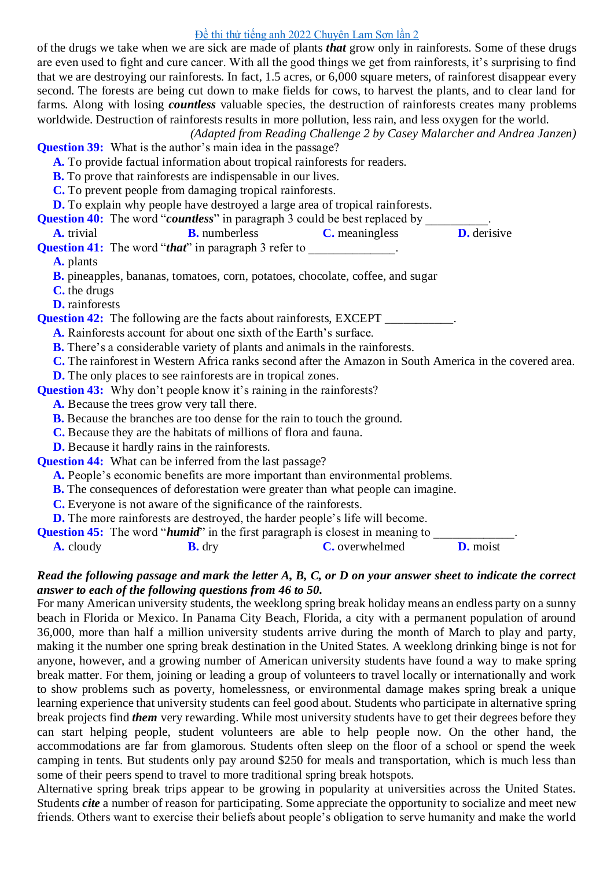### [Đề thi thử tiếng anh 2022 Chuyên Lam Sơn lần 2](https://doctailieu.com/de-thi-thu-tieng-anh-2022-chuyen-lam-son-lan-2)

of the drugs we take when we are sick are made of plants *that* grow only in rainforests. Some of these drugs are even used to fight and cure cancer. With all the good things we get from rainforests, it's surprising to find that we are destroying our rainforests. In fact, 1.5 acres, or 6,000 square meters, of rainforest disappear every second. The forests are being cut down to make fields for cows, to harvest the plants, and to clear land for farms. Along with losing *countless* valuable species, the destruction of rainforests creates many problems worldwide. Destruction of rainforests results in more pollution, less rain, and less oxygen for the world.

*(Adapted from Reading Challenge 2 by Casey Malarcher and Andrea Janzen)*

**Question 39:** What is the author's main idea in the passage?

- **A.** To provide factual information about tropical rainforests for readers.
- **B.** To prove that rainforests are indispensable in our lives.
- **C.** To prevent people from damaging tropical rainforests.
- **D.** To explain why people have destroyed a large area of tropical rainforests.

**A.** trivial **B.** numberless **C.** meaningless **D.** derisive

**Question 41:** The word "*that*" in paragraph 3 refer to

**A.** plants

**B.** pineapples, bananas, tomatoes, corn, potatoes, chocolate, coffee, and sugar

**C.** the drugs

**D.** rainforests

**Question 42:** The following are the facts about rainforests, EXCEPT \_\_\_\_\_\_\_\_\_\_\_.

- **A.** Rainforests account for about one sixth of the Earth's surface.
- **B.** There's a considerable variety of plants and animals in the rainforests.
- **C.** The rainforest in Western Africa ranks second after the Amazon in South America in the covered area.
	- **D.** The only places to see rainforests are in tropical zones.

**Question 43:** Why don't people know it's raining in the rainforests?

**A.** Because the trees grow very tall there.

**B.** Because the branches are too dense for the rain to touch the ground.

**C.** Because they are the habitats of millions of flora and fauna.

**D.** Because it hardly rains in the rainforests.

**Question 44:** What can be inferred from the last passage?

**A.** People's economic benefits are more important than environmental problems.

- **B.** The consequences of deforestation were greater than what people can imagine.
- **C.** Everyone is not aware of the significance of the rainforests.

**D.** The more rainforests are destroyed, the harder people's life will become.

**Question 45:** The word "*humid*" in the first paragraph is closest in meaning to **A.** cloudy **B.** dry **C.** overwhelmed **D.** moist

## *Read the following passage and mark the letter A, B, C, or D on your answer sheet to indicate the correct answer to each of the following questions from 46 to 50.*

For many American university students, the weeklong spring break holiday means an endless party on a sunny beach in Florida or Mexico. In Panama City Beach, Florida, a city with a permanent population of around 36,000, more than half a million university students arrive during the month of March to play and party, making it the number one spring break destination in the United States. A weeklong drinking binge is not for anyone, however, and a growing number of American university students have found a way to make spring break matter. For them, joining or leading a group of volunteers to travel locally or internationally and work to show problems such as poverty, homelessness, or environmental damage makes spring break a unique learning experience that university students can feel good about. Students who participate in alternative spring break projects find *them* very rewarding. While most university students have to get their degrees before they can start helping people, student volunteers are able to help people now. On the other hand, the accommodations are far from glamorous. Students often sleep on the floor of a school or spend the week camping in tents. But students only pay around \$250 for meals and transportation, which is much less than some of their peers spend to travel to more traditional spring break hotspots.

Alternative spring break trips appear to be growing in popularity at universities across the United States. Students *cite* a number of reason for participating. Some appreciate the opportunity to socialize and meet new friends. Others want to exercise their beliefs about people's obligation to serve humanity and make the world